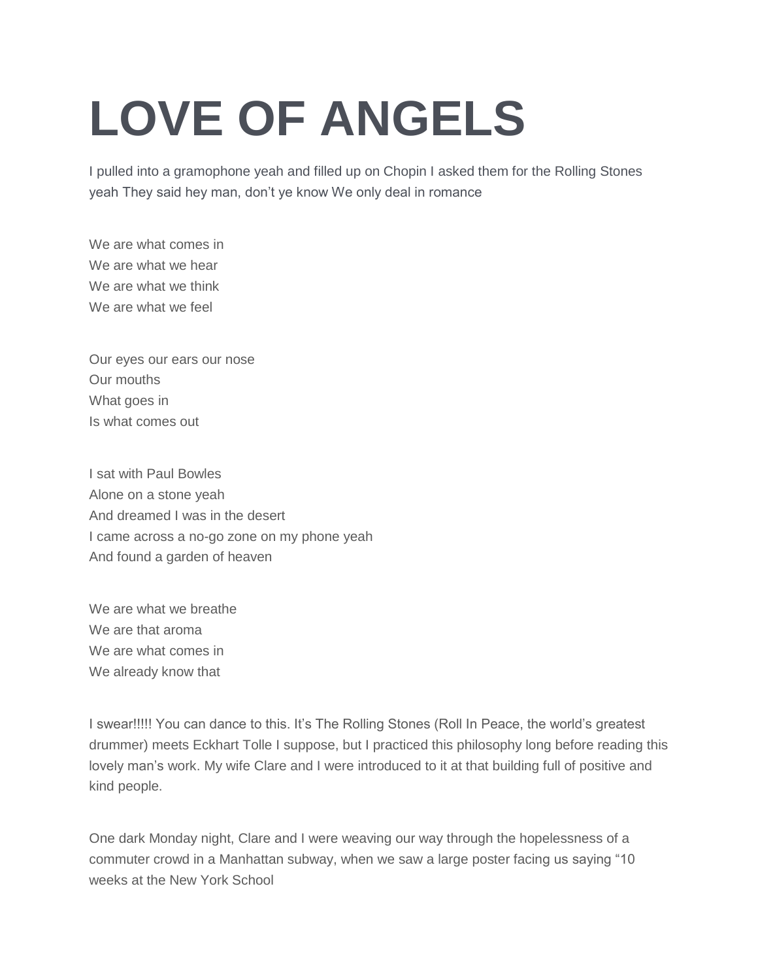## **LOVE OF ANGELS**

I pulled into a gramophone yeah and filled up on Chopin I asked them for the Rolling Stones yeah They said hey man, don't ye know We only deal in romance

We are what comes in We are what we hear We are what we think We are what we feel

Our eyes our ears our nose Our mouths What goes in Is what comes out

I sat with Paul Bowles Alone on a stone yeah And dreamed I was in the desert I came across a no-go zone on my phone yeah And found a garden of heaven

We are what we breathe We are that aroma We are what comes in We already know that

I swear!!!!! You can dance to this. It's The Rolling Stones (Roll In Peace, the world's greatest drummer) meets Eckhart Tolle I suppose, but I practiced this philosophy long before reading this lovely man's work. My wife Clare and I were introduced to it at that building full of positive and kind people.

One dark Monday night, Clare and I were weaving our way through the hopelessness of a commuter crowd in a Manhattan subway, when we saw a large poster facing us saying "10 weeks at the New York School